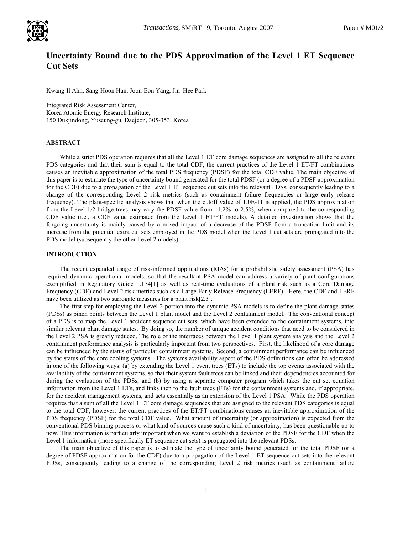

# Uncertainty Bound due to the PDS Approximation of the Level 1 ET Sequence Cut Sets

Kwang-Il Ahn, Sang-Hoon Han, Joon-Eon Yang, Jin–Hee Park

Integrated Risk Assessment Center, Korea Atomic Energy Research Institute, 150 Dukjindong, Yuseung-gu, Daejeon, 305-353, Korea

## ABSTRACT

While a strict PDS operation requires that all the Level 1 ET core damage sequences are assigned to all the relevant PDS categories and that their sum is equal to the total CDF, the current practices of the Level 1 ET/FT combinations causes an inevitable approximation of the total PDS frequency (PDSF) for the total CDF value. The main objective of this paper is to estimate the type of uncertainty bound generated for the total PDSF (or a degree of a PDSF approximation for the CDF) due to a propagation of the Level 1 ET sequence cut sets into the relevant PDSs, consequently leading to a change of the corresponding Level 2 risk metrics (such as containment failure frequencies or large early release frequency). The plant-specific analysis shows that when the cutoff value of 1.0E-11 is applied, the PDS approximation from the Level 1/2-bridge trees may vary the PDSF value from –1.2% to 2.5%, when compared to the corresponding CDF value (i.e., a CDF value estimated from the Level 1 ET/FT models). A detailed investigation shows that the forgoing uncertainty is mainly caused by a mixed impact of a decrease of the PDSF from a truncation limit and its increase from the potential extra cut sets employed in the PDS model when the Level 1 cut sets are propagated into the PDS model (subsequently the other Level 2 models).

## INTRODUCTION

The recent expanded usage of risk-informed applications (RIAs) for a probabilistic safety assessment (PSA) has required dynamic operational models, so that the resultant PSA model can address a variety of plant configurations exemplified in Regulatory Guide 1.174[1] as well as real-time evaluations of a plant risk such as a Core Damage Frequency (CDF) and Level 2 risk metrics such as a Large Early Release Frequency (LERF). Here, the CDF and LERF have been utilized as two surrogate measures for a plant risk[2,3].

The first step for employing the Level 2 portion into the dynamic PSA models is to define the plant damage states (PDSs) as pinch points between the Level 1 plant model and the Level 2 containment model. The conventional concept of a PDS is to map the Level 1 accident sequence cut sets, which have been extended to the containment systems, into similar relevant plant damage states. By doing so, the number of unique accident conditions that need to be considered in the Level 2 PSA is greatly reduced. The role of the interfaces between the Level 1 plant system analysis and the Level 2 containment performance analysis is particularly important from two perspectives. First, the likelihood of a core damage can be influenced by the status of particular containment systems. Second, a containment performance can be influenced by the status of the core cooling systems. The systems availability aspect of the PDS definitions can often be addressed in one of the following ways: (a) by extending the Level 1 event trees (ETs) to include the top events associated with the availability of the containment systems, so that their system fault trees can be linked and their dependencies accounted for during the evaluation of the PDSs, and (b) by using a separate computer program which takes the cut set equation information from the Level 1 ETs, and links then to the fault trees (FTs) for the containment systems and, if appropriate, for the accident management systems, and acts essentially as an extension of the Level 1 PSA. While the PDS operation requires that a sum of all the Level 1 ET core damage sequences that are assigned to the relevant PDS categories is equal to the total CDF, however, the current practices of the ET/FT combinations causes an inevitable approximation of the PDS frequency (PDSF) for the total CDF value. What amount of uncertainty (or approximation) is expected from the conventional PDS binning process or what kind of sources cause such a kind of uncertainty, has been questionable up to now. This information is particularly important when we want to establish a deviation of the PDSF for the CDF when the Level 1 information (more specifically ET sequence cut sets) is propagated into the relevant PDSs.

The main objective of this paper is to estimate the type of uncertainty bound generated for the total PDSF (or a degree of PDSF approximation for the CDF) due to a propagation of the Level 1 ET sequence cut sets into the relevant PDSs, consequently leading to a change of the corresponding Level 2 risk metrics (such as containment failure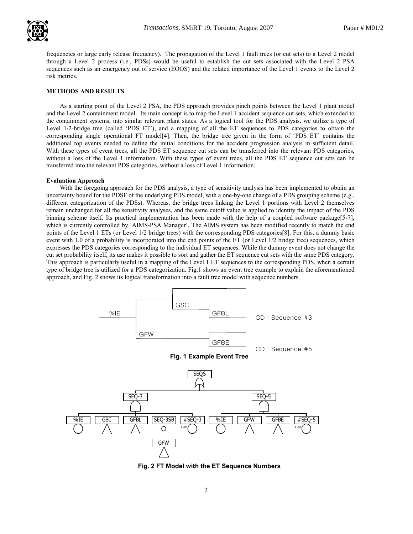

frequencies or large early release frequency). The propagation of the Level 1 fault trees (or cut sets) to a Level 2 model through a Level 2 process (i.e., PDSs) would be useful to establish the cut sets associated with the Level 2 PSA sequences such as an emergency out of service (EOOS) and the related importance of the Level 1 events to the Level 2 risk metrics. .

## METHODS AND RESULTS

As a starting point of the Level 2 PSA, the PDS approach provides pinch points between the Level 1 plant model and the Level 2 containment model. Its main concept is to map the Level 1 accident sequence cut sets, which extended to the containment systems, into similar relevant plant states. As a logical tool for the PDS analysis, we utilize a type of Level 1/2-bridge tree (called 'PDS ET'), and a mapping of all the ET sequences to PDS categories to obtain the corresponding single operational FT model[4]. Then, the bridge tree given in the form of 'PDS ET' contains the additional top events needed to define the initial conditions for the accident progression analysis in sufficient detail. With these types of event trees, all the PDS ET sequence cut sets can be transferred into the relevant PDS categories, without a loss of the Level 1 information. With these types of event trees, all the PDS ET sequence cut sets can be transferred into the relevant PDS categories, without a loss of Level 1 information.

## Evaluation Approach

With the foregoing approach for the PDS analysis, a type of sensitivity analysis has been implemented to obtain an uncertainty bound for the PDSF of the underlying PDS model, with a one-by-one change of a PDS grouping scheme (e.g., different categorization of the PDSs). Whereas, the bridge trees linking the Level 1 portions with Level 2 themselves remain unchanged for all the sensitivity analyses, and the same cutoff value is applied to identity the impact of the PDS binning scheme itself. Its practical implementation has been made with the help of a coupled software package[5-7], which is currently controlled by 'AIMS-PSA Manager'. The AIMS system has been modified recently to match the end points of the Level 1 ETs (or Level 1/2 bridge trees) with the corresponding PDS categories[8]. For this, a dummy basic event with 1.0 of a probability is incorporated into the end points of the ET (or Level 1/2 bridge tree) sequences, which expresses the PDS categories corresponding to the individual ET sequences. While the dummy event does not change the cut set probability itself, its use makes it possible to sort and gather the ET sequence cut sets with the same PDS category. This approach is particularly useful in a mapping of the Level 1 ET sequences to the corresponding PDS, when a certain type of bridge tree is utilized for a PDS categorization. Fig.1 shows an event tree example to explain the aforementioned approach, and Fig. 2 shows its logical transformation into a fault tree model with sequence numbers.



Fig. 2 FT Model with the ET Sequence Numbers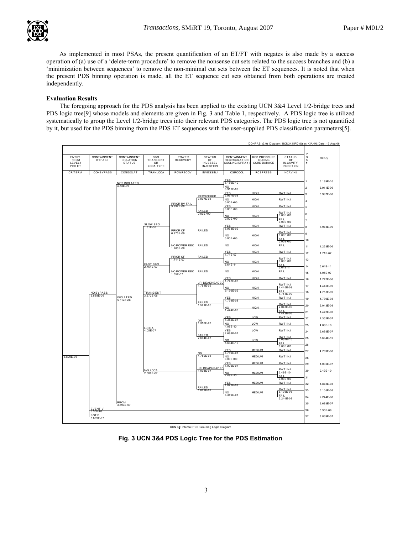As implemented in most PSAs, the present quantification of an ET/FT with negates is also made by a success operation of (a) use of a 'delete-term procedure' to remove the nonsense cut sets related to the success branches and (b) a 'minimization between sequences' to remove the non-minimal cut sets between the ET sequences. It is noted that when the present PDS binning operation is made, all the ET sequence cut sets obtained from both operations are treated independently.

## Evaluation Results

The foregoing approach for the PDS analysis has been applied to the existing UCN 3&4 Level 1/2-bridge trees and PDS logic tree[9] whose models and elements are given in Fig. 3 and Table 1, respectively. A PDS logic tree is utilized systematically to group the Level 1/2-bridge trees into their relevant PDS categories. The PDS logic tree is not quantified by it, but used for the PDS binning from the PDS ET sequences with the user-supplied PDS classification parameters[5].



UCN 34: Internal PDS Grouping Logic Diagram

Fig. 3 UCN 3&4 PDS Logic Tree for the PDS Estimation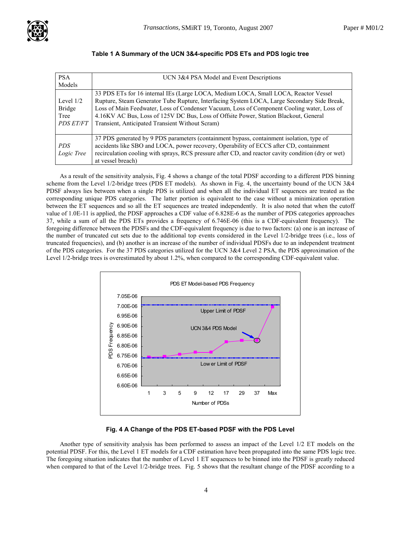

| <b>PSA</b><br>Models                                     | UCN 3&4 PSA Model and Event Descriptions                                                                                                                                                                                                                                                                                                                                                                                    |
|----------------------------------------------------------|-----------------------------------------------------------------------------------------------------------------------------------------------------------------------------------------------------------------------------------------------------------------------------------------------------------------------------------------------------------------------------------------------------------------------------|
| Level $1/2$<br><b>Bridge</b><br>Tree<br><b>PDS ET/FT</b> | 33 PDS ETs for 16 internal IEs (Large LOCA, Medium LOCA, Small LOCA, Reactor Vessel<br>Rupture, Steam Generator Tube Rupture, Interfacing System LOCA, Large Secondary Side Break,<br>Loss of Main Feedwater, Loss of Condenser Vacuum, Loss of Component Cooling water, Loss of<br>4.16KV AC Bus, Loss of 125V DC Bus, Loss of Offsite Power, Station Blackout, General<br>Transient, Anticipated Transient Without Scram) |
| PDS.<br>Logic Tree                                       | 37 PDS generated by 9 PDS parameters (containment bypass, containment isolation, type of<br>accidents like SBO and LOCA, power recovery, Operability of ECCS after CD, containment<br>recirculation cooling with sprays, RCS pressure after CD, and reactor cavity condition (dry or wet)<br>at vessel breach)                                                                                                              |

# Table 1 A Summary of the UCN 3&4-specific PDS ETs and PDS logic tree

As a result of the sensitivity analysis, Fig. 4 shows a change of the total PDSF according to a different PDS binning scheme from the Level 1/2-bridge trees (PDS ET models). As shown in Fig. 4, the uncertainty bound of the UCN 3&4 PDSF always lies between when a single PDS is utilized and when all the individual ET sequences are treated as the corresponding unique PDS categories. The latter portion is equivalent to the case without a minimization operation between the ET sequences and so all the ET sequences are treated independently. It is also noted that when the cutoff value of 1.0E-11 is applied, the PDSF approaches a CDF value of 6.828E-6 as the number of PDS categories approaches 37, while a sum of all the PDS ETs provides a frequency of 6.746E-06 (this is a CDF-equivalent frequency). The foregoing difference between the PDSFs and the CDF-equivalent frequency is due to two factors: (a) one is an increase of the number of truncated cut sets due to the additional top events considered in the Level 1/2-bridge trees (i.e., loss of truncated frequencies), and (b) another is an increase of the number of individual PDSFs due to an independent treatment of the PDS categories. For the 37 PDS categories utilized for the UCN 3&4 Level 2 PSA, the PDS approximation of the Level 1/2-bridge trees is overestimated by about 1.2%, when compared to the corresponding CDF-equivalent value.



## Fig. 4 A Change of the PDS ET-based PDSF with the PDS Level

Another type of sensitivity analysis has been performed to assess an impact of the Level 1/2 ET models on the potential PDSF. For this, the Level 1 ET models for a CDF estimation have been propagated into the same PDS logic tree. The foregoing situation indicates that the number of Level 1 ET sequences to be binned into the PDSF is greatly reduced when compared to that of the Level 1/2-bridge trees. Fig. 5 shows that the resultant change of the PDSF according to a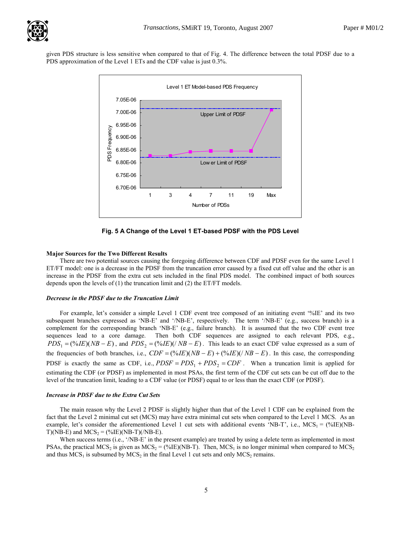given PDS structure is less sensitive when compared to that of Fig. 4. The difference between the total PDSF due to a PDS approximation of the Level 1 ETs and the CDF value is just 0.3%. .



Fig. 5 A Change of the Level 1 ET-based PDSF with the PDS Level

## Major Sources for the Two Different Results

There are two potential sources causing the foregoing difference between CDF and PDSF even for the same Level 1 ET/FT model: one is a decrease in the PDSF from the truncation error caused by a fixed cut off value and the other is an increase in the PDSF from the extra cut sets included in the final PDS model. The combined impact of both sources depends upon the levels of (1) the truncation limit and (2) the ET/FT models.

## Decrease in the PDSF due to the Truncation Limit

For example, let's consider a simple Level 1 CDF event tree composed of an initiating event '%IE' and its two subsequent branches expressed as 'NB-E' and '/NB-E', respectively. The term '/NB-E' (e.g., success branch) is a complement for the corresponding branch 'NB-E' (e.g., failure branch). It is assumed that the two CDF event tree sequences lead to a core damage. Then both CDF sequences are assigned to each relevant PDS, e.g.,  $PDS_1 = (\frac{\omega_0}{E})(NB - E)$ , and  $PDS_2 = (\frac{\omega_0}{E})(NB - E)$ . This leads to an exact CDF value expressed as a sum of the frequencies of both branches, i.e.,  $CDF = (\frac{\%E}{NB} - E) + (\frac{\%E}{NB} - E)$ . In this case, the corresponding PDSF is exactly the same as CDF, i.e.,  $PDSF = PDS_1 + PDS_2 = CDF$ . When a truncation limit is applied for estimating the CDF (or PDSF) as implemented in most PSAs, the first term of the CDF cut sets can be cut off due to the level of the truncation limit, leading to a CDF value (or PDSF) equal to or less than the exact CDF (or PDSF).

## Increase in PDSF due to the Extra Cut Sets

The main reason why the Level 2 PDSF is slightly higher than that of the Level 1 CDF can be explained from the fact that the Level 2 minimal cut set (MCS) may have extra minimal cut sets when compared to the Level 1 MCS. As an example, let's consider the aforementioned Level 1 cut sets with additional events 'NB-T', i.e.,  $MCS<sub>1</sub> = (\%IE)(NB-$ T)(NB-E) and  $MCS_2 = (\%IE)(NB-T)(NB-E)$ .

When success terms (i.e., '/NB-E' in the present example) are treated by using a delete term as implemented in most PSAs, the practical MCS<sub>2</sub> is given as MCS<sub>2</sub> = (%IE)(NB-T). Then, MCS<sub>1</sub> is no longer minimal when compared to MCS<sub>2</sub> and thus  $MCS_1$  is subsumed by  $MCS_2$  in the final Level 1 cut sets and only  $MCS_2$  remains.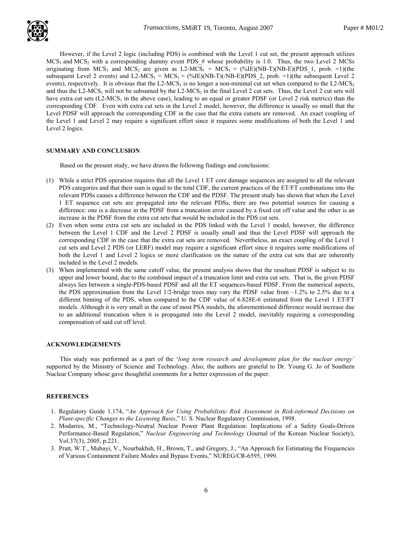However, if the Level 2 logic (including PDS) is combined with the Level 1 cut set, the present approach utilizes  $MCS<sub>1</sub>$  and  $MCS<sub>2</sub>$  with a corresponding dummy event PDS # whose probability is 1.0. Thus, the two Level 2 MCSs originating from  $MCS_1$  and  $MCS_2$  are given as L2-MCS<sub>1</sub> =  $MCS_1 = (0.1)$ (NB-T)(NB-E)(PDS 1, prob. =1)(the subsequent Level 2 events) and L2-MCS<sub>1</sub> = MCS<sub>1</sub> = (%IE)(NB-T)(/NB-E)(PDS 2, prob. =1)(the subsequent Level 2 events), respectively. It is obvious that the L2-MCS<sub>1</sub> is no longer a non-minimal cut set when compared to the L2-MCS<sub>2</sub> and thus the  $L2-MCS<sub>1</sub>$  will not be subsumed by the  $L2-MCS<sub>2</sub>$  in the final Level 2 cut sets. Thus, the Level 2 cut sets will have extra cut sets  $(L2-MCS<sub>1</sub>$  in the above case), leading to an equal or greater PDSF (or Level 2 risk metrics) than the corresponding CDF. Even with extra cut sets in the Level 2 model, however, the difference is usually so small that the Level PDSF will approach the corresponding CDF in the case that the extra cutsets are removed. An exact coupling of the Level 1 and Level 2 may require a significant effort since it requires some modifications of both the Level 1 and Level 2 logics.

## SUMMARY AND CONCLUSION

Based on the present study, we have drawn the following findings and conclusions:

- (1) While a strict PDS operation requires that all the Level 1 ET core damage sequences are assigned to all the relevant PDS categories and that their sum is equal to the total CDF, the current practices of the ET/FT combinations into the relevant PDSs causes a difference between the CDF and the PDSF. The present study has shown that when the Level 1 ET sequence cut sets are propagated into the relevant PDSs, there are two potential sources for causing a difference: one is a decrease in the PDSF from a truncation error caused by a fixed cut off value and the other is an increase in the PDSF from the extra cut sets that would be included in the PDS cut sets.
- (2) Even when some extra cut sets are included in the PDS linked with the Level 1 model, however, the difference between the Level 1 CDF and the Level 2 PDSF is usually small and thus the Level PDSF will approach the corresponding CDF in the case that the extra cut sets are removed. Nevertheless, an exact coupling of the Level 1 cut sets and Level 2 PDS (or LERF) model may require a significant effort since it requires some modifications of both the Level 1 and Level 2 logics or more clarification on the nature of the extra cut sets that are inherently included in the Level 2 models.
- (3) When implemented with the same cutoff value, the present analysis shows that the resultant PDSF is subject to its upper and lower bound, due to the combined impact of a truncation limit and extra cut sets. That is, the given PDSF always lies between a single-PDS-based PDSF and all the ET sequences-based PDSF. From the numerical aspects, the PDS approximation from the Level  $1/2$ -bridge trees may vary the PDSF value from  $-1.2\%$  to 2.5% due to a different binning of the PDS, when compared to the CDF value of 6.828E-6 estimated from the Level 1 ET/FT models. Although it is very small in the case of most PSA models, the aforementioned difference would increase due to an additional truncation when it is propagated into the Level 2 model, inevitably requiring a corresponding compensation of said cut off level.

## ACKNOWLEDGEMENTS

This study was performed as a part of the 'long term research and development plan for the nuclear energy' supported by the Ministry of Science and Technology. Also, the authors are grateful to Dr. Young G. Jo of Southern Nuclear Company whose gave thoughtful comments for a better expression of the paper.

#### **REFERENCES**

- 1. Regulatory Guide 1.174, "An Approach for Using Probabilistic Risk Assessment in Risk-informed Decisions on Plant-specific Changes to the Licensing Basis," U. S. Nuclear Regulatory Commission, 1998.
- 2. Modarres, M., "Technology-Neutral Nuclear Power Plant Regulation: Implications of a Safety Goals-Driven Performance-Based Regulation," Nuclear Engineering and Technology (Journal of the Korean Nuclear Society), Vol.37(3), 2005, p.221.
- 3. Pratt, W.T., Mubayi, V., Nourbakhsh, H., Brown, T., and Gregory, J., "An Approach for Estimating the Frequencies of Various Containment Failure Modes and Bypass Events," NUREG/CR-6595, 1999.